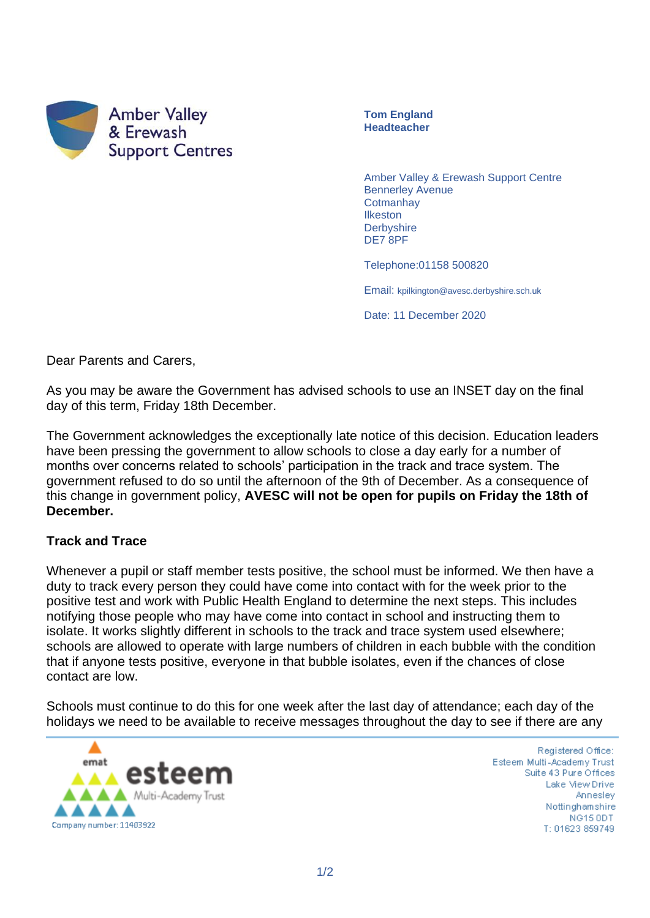

**Tom England Headteacher**

Amber Valley & Erewash Support Centre Bennerley Avenue **Cotmanhay** Ilkeston **Derbyshire** DE7 8PF

Telephone:01158 500820

Email: kpilkington@avesc.derbyshire.sch.uk

Date: 11 December 2020

Dear Parents and Carers,

As you may be aware the Government has advised schools to use an INSET day on the final day of this term, Friday 18th December.

The Government acknowledges the exceptionally late notice of this decision. Education leaders have been pressing the government to allow schools to close a day early for a number of months over concerns related to schools' participation in the track and trace system. The government refused to do so until the afternoon of the 9th of December. As a consequence of this change in government policy, **AVESC will not be open for pupils on Friday the 18th of December.**

## **Track and Trace**

Whenever a pupil or staff member tests positive, the school must be informed. We then have a duty to track every person they could have come into contact with for the week prior to the positive test and work with Public Health England to determine the next steps. This includes notifying those people who may have come into contact in school and instructing them to isolate. It works slightly different in schools to the track and trace system used elsewhere; schools are allowed to operate with large numbers of children in each bubble with the condition that if anyone tests positive, everyone in that bubble isolates, even if the chances of close contact are low.

Schools must continue to do this for one week after the last day of attendance; each day of the holidays we need to be available to receive messages throughout the day to see if there are any



Registered Office: Esteem Multi-Academy Trust Suite 43 Pure Offices Lake View Drive Annesley Nottinghamshire NG15 ODT T: 01623 859749